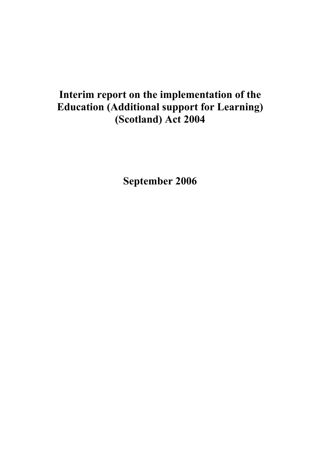# **Interim report on the implementation of the Education (Additional support for Learning) (Scotland) Act 2004**

**September 2006**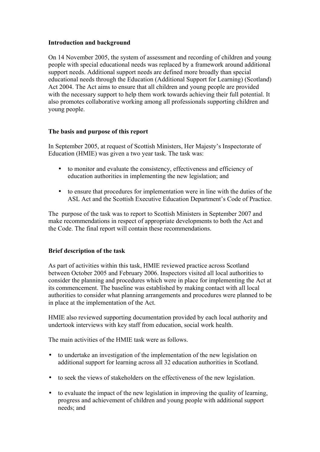#### **Introduction and background**

On 14 November 2005, the system of assessment and recording of children and young people with special educational needs was replaced by a framework around additional support needs. Additional support needs are defined more broadly than special educational needs through the Education (Additional Support for Learning) (Scotland) Act 2004. The Act aims to ensure that all children and young people are provided with the necessary support to help them work towards achieving their full potential. It also promotes collaborative working among all professionals supporting children and young people.

### **The basis and purpose of this report**

In September 2005, at request of Scottish Ministers, Her Majesty's Inspectorate of Education (HMIE) was given a two year task. The task was:

- to monitor and evaluate the consistency, effectiveness and efficiency of education authorities in implementing the new legislation; and
- to ensure that procedures for implementation were in line with the duties of the ASL Act and the Scottish Executive Education Department's Code of Practice.

The purpose of the task was to report to Scottish Ministers in September 2007 and make recommendations in respect of appropriate developments to both the Act and the Code. The final report will contain these recommendations.

#### **Brief description of the task**

As part of activities within this task, HMIE reviewed practice across Scotland between October 2005 and February 2006. Inspectors visited all local authorities to consider the planning and procedures which were in place for implementing the Act at its commencement. The baseline was established by making contact with all local authorities to consider what planning arrangements and procedures were planned to be in place at the implementation of the Act.

HMIE also reviewed supporting documentation provided by each local authority and undertook interviews with key staff from education, social work health.

The main activities of the HMIE task were as follows.

- to undertake an investigation of the implementation of the new legislation on additional support for learning across all 32 education authorities in Scotland.
- to seek the views of stakeholders on the effectiveness of the new legislation.
- to evaluate the impact of the new legislation in improving the quality of learning, progress and achievement of children and young people with additional support needs; and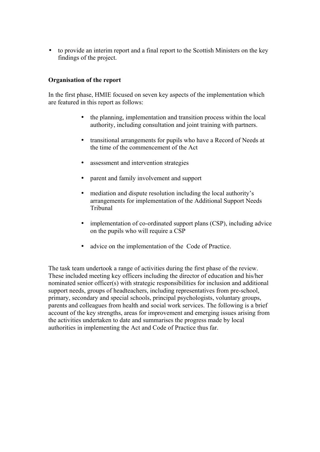• to provide an interim report and a final report to the Scottish Ministers on the key findings of the project.

#### **Organisation of the report**

In the first phase, HMIE focused on seven key aspects of the implementation which are featured in this report as follows:

- the planning, implementation and transition process within the local authority, including consultation and joint training with partners.
- transitional arrangements for pupils who have a Record of Needs at the time of the commencement of the Act
- assessment and intervention strategies
- parent and family involvement and support
- mediation and dispute resolution including the local authority's arrangements for implementation of the Additional Support Needs Tribunal
- implementation of co-ordinated support plans (CSP), including advice on the pupils who will require a CSP
- advice on the implementation of the Code of Practice.

The task team undertook a range of activities during the first phase of the review. These included meeting key officers including the director of education and his/her nominated senior officer(s) with strategic responsibilities for inclusion and additional support needs, groups of headteachers, including representatives from pre-school, primary, secondary and special schools, principal psychologists, voluntary groups, parents and colleagues from health and social work services. The following is a brief account of the key strengths, areas for improvement and emerging issues arising from the activities undertaken to date and summarises the progress made by local authorities in implementing the Act and Code of Practice thus far.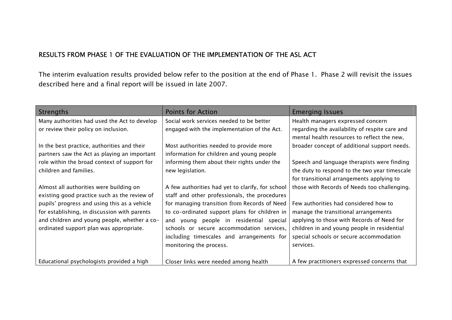## RESULTS FROM PHASE 1 OF THE EVALUATION OF THE IMPLEMENTATION OF THE ASL ACT

The interim evaluation results provided below refer to the position at the end of Phase 1. Phase 2 will revisit the issues described here and a final report will be issued in late 2007.

| Strengths                                    | <b>Points for Action</b>                         | <b>Emerging Issues</b>                         |
|----------------------------------------------|--------------------------------------------------|------------------------------------------------|
| Many authorities had used the Act to develop | Social work services needed to be better         | Health managers expressed concern              |
| or review their policy on inclusion.         | engaged with the implementation of the Act.      | regarding the availability of respite care and |
|                                              |                                                  | mental health resources to reflect the new,    |
| In the best practice, authorities and their  | Most authorities needed to provide more          | broader concept of additional support needs.   |
| partners saw the Act as playing an important | information for children and young people        |                                                |
| role within the broad context of support for | informing them about their rights under the      | Speech and language therapists were finding    |
| children and families.                       | new legislation.                                 | the duty to respond to the two year timescale  |
|                                              |                                                  | for transitional arrangements applying to      |
| Almost all authorities were building on      | A few authorities had yet to clarify, for school | those with Records of Needs too challenging.   |
| existing good practice such as the review of | staff and other professionals, the procedures    |                                                |
| pupils' progress and using this as a vehicle | for managing transition from Records of Need     | Few authorities had considered how to          |
| for establishing, in discussion with parents | to co-ordinated support plans for children in    | manage the transitional arrangements           |
| and children and young people, whether a co- | young people in residential special<br>and       | applying to those with Records of Need for     |
| ordinated support plan was appropriate.      | schools or secure accommodation services,        | children in and young people in residential    |
|                                              | including timescales and arrangements for        | special schools or secure accommodation        |
|                                              | monitoring the process.                          | services.                                      |
|                                              |                                                  |                                                |
| Educational psychologists provided a high    | Closer links were needed among health            | A few practitioners expressed concerns that    |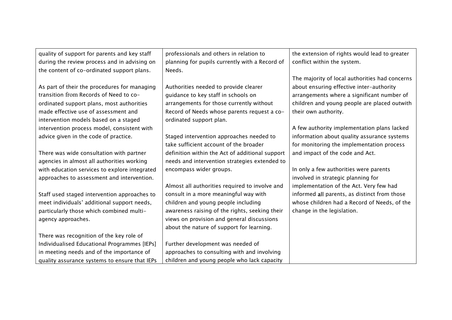| quality of support for parents and key staff  | professionals and others in relation to         | the extension of rights would lead to greater  |
|-----------------------------------------------|-------------------------------------------------|------------------------------------------------|
| during the review process and in advising on  | planning for pupils currently with a Record of  | conflict within the system.                    |
| the content of co-ordinated support plans.    | Needs.                                          |                                                |
|                                               |                                                 | The majority of local authorities had concerns |
| As part of their the procedures for managing  | Authorities needed to provide clearer           | about ensuring effective inter-authority       |
| transition from Records of Need to co-        | guidance to key staff in schools on             | arrangements where a significant number of     |
| ordinated support plans, most authorities     | arrangements for those currently without        | children and young people are placed outwith   |
| made effective use of assessment and          | Record of Needs whose parents request a co-     | their own authority.                           |
| intervention models based on a staged         | ordinated support plan.                         |                                                |
| intervention process model, consistent with   |                                                 | A few authority implementation plans lacked    |
| advice given in the code of practice.         | Staged intervention approaches needed to        | information about quality assurance systems    |
|                                               | take sufficient account of the broader          | for monitoring the implementation process      |
| There was wide consultation with partner      | definition within the Act of additional support | and impact of the code and Act.                |
| agencies in almost all authorities working    | needs and intervention strategies extended to   |                                                |
| with education services to explore integrated | encompass wider groups.                         | In only a few authorities were parents         |
| approaches to assessment and intervention.    |                                                 | involved in strategic planning for             |
|                                               | Almost all authorities required to involve and  | implementation of the Act. Very few had        |
| Staff used staged intervention approaches to  | consult in a more meaningful way with           | informed all parents, as distinct from those   |
| meet individuals' additional support needs,   | children and young people including             | whose children had a Record of Needs, of the   |
| particularly those which combined multi-      | awareness raising of the rights, seeking their  | change in the legislation.                     |
| agency approaches.                            | views on provision and general discussions      |                                                |
|                                               | about the nature of support for learning.       |                                                |
| There was recognition of the key role of      |                                                 |                                                |
| Individualised Educational Programmes [IEPs]  | Further development was needed of               |                                                |
| in meeting needs and of the importance of     | approaches to consulting with and involving     |                                                |
| quality assurance systems to ensure that IEPs | children and young people who lack capacity     |                                                |